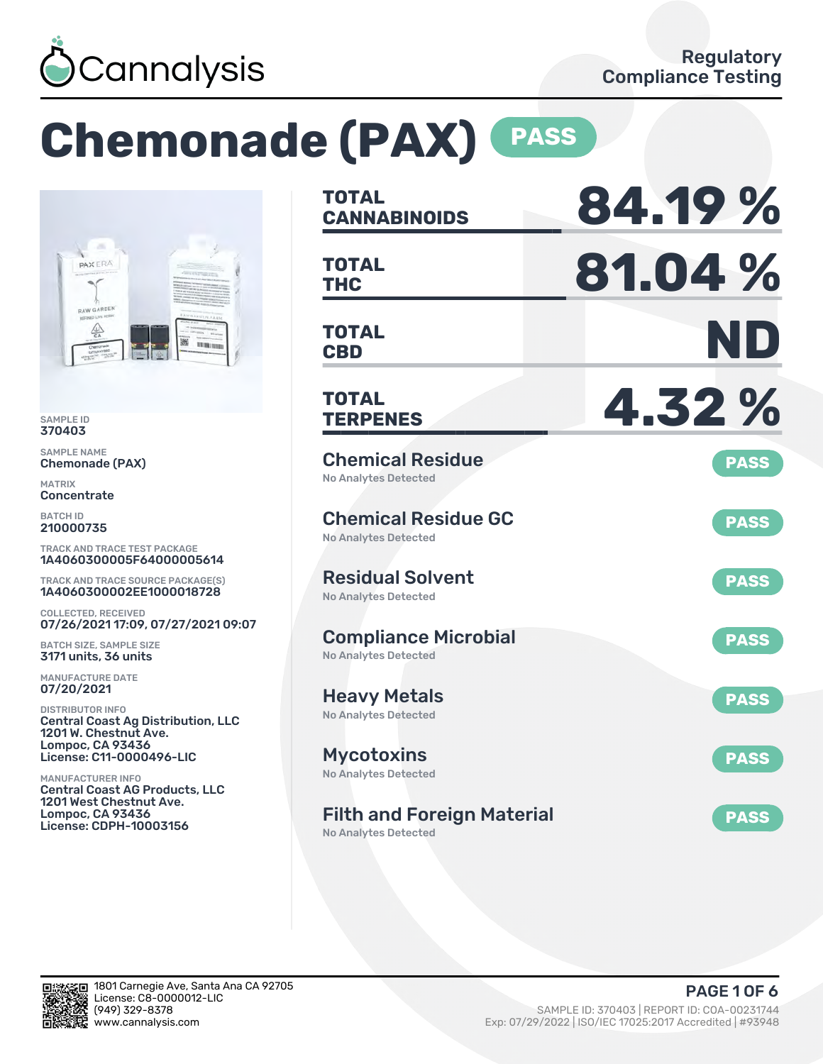

# **Chemonade (PAX) PASS**



SAMPLE ID 370403

SAMPLE NAME Chemonade (PAX)

MATRIX **Concentrate** 

BATCH ID 210000735

TRACK AND TRACE TEST PACKAGE 1A4060300005F64000005614

TRACK AND TRACE SOURCE PACKAGE(S) 1A4060300002EE1000018728

COLLECTED, RECEIVED 07/26/2021 17:09, 07/27/2021 09:07

BATCH SIZE, SAMPLE SIZE 3171 units, 36 units

MANUFACTURE DATE 07/20/2021

DISTRIBUTOR INFO Central Coast Ag Distribution, LLC 1201 W. Chestnut Ave. Lompoc, CA 93436 License: C11-0000496-LIC

MANUFACTURER INFO Central Coast AG Products, LLC 1201 West Chestnut Ave. Lompoc, CA 93436 License: CDPH-10003156

| TOTAL<br><b>CANNABINOIDS</b>                               | 84.19%      |
|------------------------------------------------------------|-------------|
| <b>TOTAL</b><br><b>THC</b>                                 | 81.04%      |
| TOTAL<br><b>CBD</b>                                        | ND          |
| TOTAL<br><b>TERPENES</b>                                   | 4.32%       |
| <b>Chemical Residue</b><br><b>No Analytes Detected</b>     | <b>PASS</b> |
| <b>Chemical Residue GC</b><br><b>No Analytes Detected</b>  | <b>PASS</b> |
| <b>Residual Solvent</b><br><b>No Analytes Detected</b>     | <b>PASS</b> |
| <b>Compliance Microbial</b><br><b>No Analytes Detected</b> | <b>PASS</b> |
| <b>Heavy Metals</b><br><b>No Analytes Detected</b>         | <b>PASS</b> |
| <b>Mycotoxins</b><br>No Analytes Detected                  | <b>PASS</b> |
| <b>Filth and Foreign Material</b><br>No Analytes Detected  | <b>PASS</b> |

រក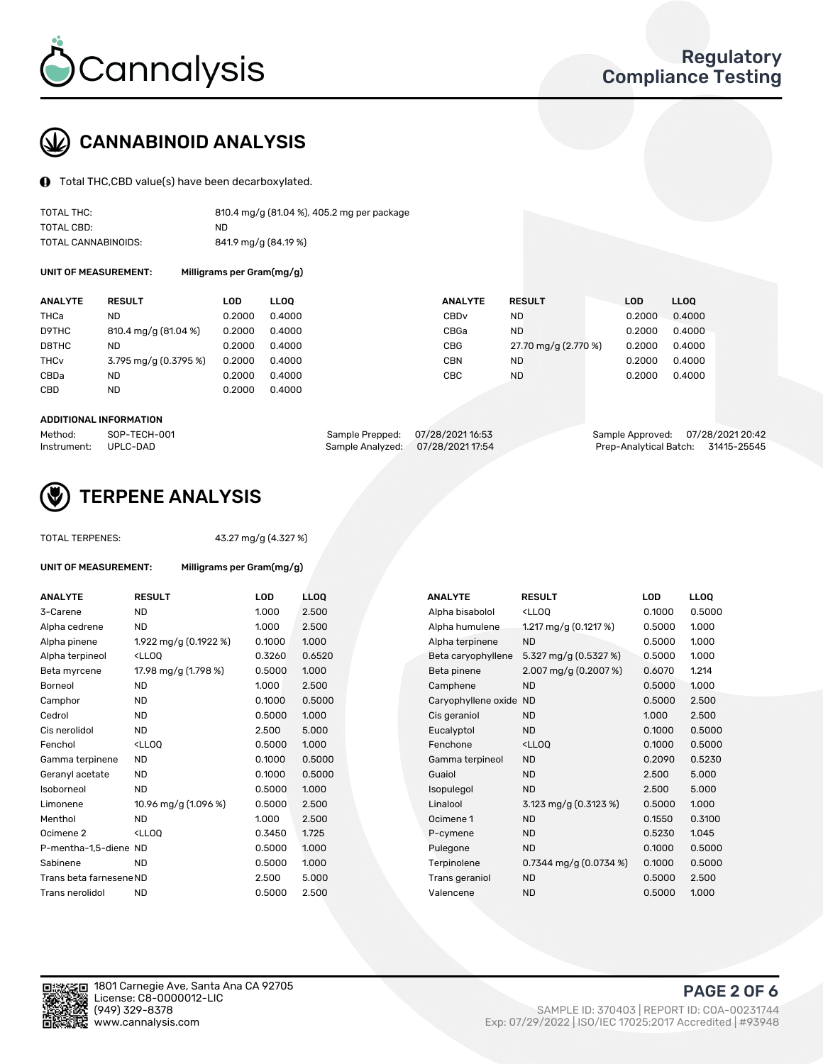

## CANNABINOID ANALYSIS

Total THC,CBD value(s) have been decarboxylated.

| TOTAL THC:          | 810.4 mg/g (81.04 %), 405.2 mg per package |
|---------------------|--------------------------------------------|
| TOTAL CBD:          | ND.                                        |
| TOTAL CANNABINOIDS: | 841.9 mg/g (84.19 %)                       |

UNIT OF MEASUREMENT: Milligrams per Gram(mg/g)

| <b>ANALYTE</b>         | <b>RESULT</b>         | LOD    | <b>LLOO</b> | <b>ANALYTE</b>   | <b>RESULT</b>        | <b>LOD</b> | <b>LLOO</b> |
|------------------------|-----------------------|--------|-------------|------------------|----------------------|------------|-------------|
| <b>THCa</b>            | ND                    | 0.2000 | 0.4000      | CBD <sub>v</sub> | ND                   | 0.2000     | 0.4000      |
| D9THC                  | 810.4 mg/g (81.04 %)  | 0.2000 | 0.4000      | CBGa             | <b>ND</b>            | 0.2000     | 0.4000      |
| D8THC                  | ND                    | 0.2000 | 0.4000      | <b>CBG</b>       | 27.70 mg/g (2.770 %) | 0.2000     | 0.4000      |
| <b>THC<sub>v</sub></b> | 3.795 mg/g (0.3795 %) | 0.2000 | 0.4000      | <b>CBN</b>       | ND                   | 0.2000     | 0.4000      |
| CBDa                   | ND                    | 0.2000 | 0.4000      | CBC              | <b>ND</b>            | 0.2000     | 0.4000      |
| <b>CBD</b>             | <b>ND</b>             | 0.2000 | 0.4000      |                  |                      |            |             |

#### ADDITIONAL INFORMATION

| Method:              | SOP-TECH-001 | Sample Prepped: 07/28/202116:53   | Sample Approved: 07/28/2021 20:42 |                                    |
|----------------------|--------------|-----------------------------------|-----------------------------------|------------------------------------|
| Instrument: UPLC-DAD |              | Sample Analyzed: 07/28/2021 17:54 |                                   | Prep-Analytical Batch: 31415-25545 |



### TERPENE ANALYSIS

| <b>TOTAL TERPENES:</b>      |                                                    | 43.27 mg/g (4.327 %) |                  |  |  |  |  |
|-----------------------------|----------------------------------------------------|----------------------|------------------|--|--|--|--|
| <b>UNIT OF MEASUREMENT:</b> | Milligrams per Gram(mg/g)                          |                      |                  |  |  |  |  |
| <b>ANALYTE</b>              | <b>RESULT</b>                                      | LOD                  | LLO <sub>0</sub> |  |  |  |  |
| 3-Carene                    | <b>ND</b>                                          | 1.000                | 2.50             |  |  |  |  |
| Alpha cedrene               | ND.                                                | 1.000                | 2.50             |  |  |  |  |
| Alpha pinene                | 1.922 mg/g $(0.1922 \%)$                           | 0.1000               | 1.000            |  |  |  |  |
| Alpha terpineol             | <ll00< td=""><td>0.3260</td><td>0.65</td></ll00<>  | 0.3260               | 0.65             |  |  |  |  |
| Beta myrcene                | 17.98 mg/g (1.798 %)                               | 0.5000               | 1.000            |  |  |  |  |
| Borneol                     | <b>ND</b>                                          | 1.000                | 2.50             |  |  |  |  |
| Camphor                     | <b>ND</b>                                          | 0.1000               | 0.50             |  |  |  |  |
| Cedrol                      | <b>ND</b>                                          | 0.5000               | 1.000            |  |  |  |  |
| Cis nerolidol               | <b>ND</b>                                          | 2.500                | 5.00             |  |  |  |  |
| Fenchol                     | $<$ LL00                                           | 0.5000               | 1.000            |  |  |  |  |
| Gamma terpinene             | ND                                                 | 0.1000               | 0.50             |  |  |  |  |
| Geranyl acetate             | <b>ND</b>                                          | 0.1000               | 0.50             |  |  |  |  |
| Isoborneol                  | <b>ND</b>                                          | 0.5000               | 1.000            |  |  |  |  |
| Limonene                    | 10.96 mg/g (1.096 %)                               | 0.5000               | 2.50             |  |  |  |  |
| Menthol                     | ND.                                                | 1.000                | 2.50             |  |  |  |  |
| Ocimene <sub>2</sub>        | <lloo< td=""><td>0.3450</td><td>1.725</td></lloo<> | 0.3450               | 1.725            |  |  |  |  |
| P-mentha-1,5-diene ND       |                                                    | 0.5000               | 1.000            |  |  |  |  |
| Sabinene                    | <b>ND</b>                                          | 0.5000               | 1.000            |  |  |  |  |
| Trans beta farnesene ND     |                                                    | 2.500                | 5.00             |  |  |  |  |
| Trans nerolidol             | <b>ND</b>                                          | 0.5000               | 2.50             |  |  |  |  |
|                             |                                                    |                      |                  |  |  |  |  |

| ANALYTE                 | <b>RESULT</b>                                                                                                                                         | <b>LOD</b> | <b>LLOQ</b> | <b>ANALYTE</b>         | <b>RESULT</b>                                       | LOD    | <b>LLOQ</b> |
|-------------------------|-------------------------------------------------------------------------------------------------------------------------------------------------------|------------|-------------|------------------------|-----------------------------------------------------|--------|-------------|
| 3-Carene                | <b>ND</b>                                                                                                                                             | 1.000      | 2.500       | Alpha bisabolol        | <lloq< td=""><td>0.1000</td><td>0.5000</td></lloq<> | 0.1000 | 0.5000      |
| Alpha cedrene           | <b>ND</b>                                                                                                                                             | 1.000      | 2.500       | Alpha humulene         | 1.217 mg/g $(0.1217%)$                              | 0.5000 | 1.000       |
| Alpha pinene            | 1.922 mg/g (0.1922 %)                                                                                                                                 | 0.1000     | 1.000       | Alpha terpinene        | <b>ND</b>                                           | 0.5000 | 1.000       |
| Alpha terpineol         | <lloq< td=""><td>0.3260</td><td>0.6520</td><td>Beta caryophyllene</td><td>5.327 mg/g <math>(0.5327%)</math></td><td>0.5000</td><td>1.000</td></lloq<> | 0.3260     | 0.6520      | Beta caryophyllene     | 5.327 mg/g $(0.5327%)$                              | 0.5000 | 1.000       |
| Beta myrcene            | 17.98 mg/g (1.798 %)                                                                                                                                  | 0.5000     | 1.000       | Beta pinene            | $2.007 \,\mathrm{mg/g}$ (0.2007 %)                  | 0.6070 | 1.214       |
| Borneol                 | <b>ND</b>                                                                                                                                             | 1.000      | 2.500       | Camphene               | <b>ND</b>                                           | 0.5000 | 1.000       |
| Camphor                 | <b>ND</b>                                                                                                                                             | 0.1000     | 0.5000      | Caryophyllene oxide ND |                                                     | 0.5000 | 2.500       |
| Cedrol                  | <b>ND</b>                                                                                                                                             | 0.5000     | 1.000       | Cis geraniol           | <b>ND</b>                                           | 1.000  | 2.500       |
| Cis nerolidol           | <b>ND</b>                                                                                                                                             | 2.500      | 5.000       | Eucalyptol             | <b>ND</b>                                           | 0.1000 | 0.5000      |
| Fenchol                 | <lloq< td=""><td>0.5000</td><td>1.000</td><td>Fenchone</td><td><lloq< td=""><td>0.1000</td><td>0.5000</td></lloq<></td></lloq<>                       | 0.5000     | 1.000       | Fenchone               | <lloq< td=""><td>0.1000</td><td>0.5000</td></lloq<> | 0.1000 | 0.5000      |
| Gamma terpinene         | <b>ND</b>                                                                                                                                             | 0.1000     | 0.5000      | Gamma terpineol        | <b>ND</b>                                           | 0.2090 | 0.5230      |
| Geranyl acetate         | <b>ND</b>                                                                                                                                             | 0.1000     | 0.5000      | Guaiol                 | <b>ND</b>                                           | 2.500  | 5.000       |
| Isoborneol              | <b>ND</b>                                                                                                                                             | 0.5000     | 1.000       | Isopulegol             | <b>ND</b>                                           | 2.500  | 5.000       |
| Limonene                | 10.96 mg/g (1.096 %)                                                                                                                                  | 0.5000     | 2.500       | Linalool               | 3.123 mg/g $(0.3123\%)$                             | 0.5000 | 1.000       |
| Menthol                 | <b>ND</b>                                                                                                                                             | 1.000      | 2.500       | Ocimene 1              | <b>ND</b>                                           | 0.1550 | 0.3100      |
| Ocimene 2               | <lloq< td=""><td>0.3450</td><td>1.725</td><td>P-cymene</td><td><b>ND</b></td><td>0.5230</td><td>1.045</td></lloq<>                                    | 0.3450     | 1.725       | P-cymene               | <b>ND</b>                                           | 0.5230 | 1.045       |
| P-mentha-1,5-diene ND   |                                                                                                                                                       | 0.5000     | 1.000       | Pulegone               | <b>ND</b>                                           | 0.1000 | 0.5000      |
| Sabinene                | <b>ND</b>                                                                                                                                             | 0.5000     | 1.000       | Terpinolene            | $0.7344$ mg/g $(0.0734\%)$                          | 0.1000 | 0.5000      |
| Trans beta farnesene ND |                                                                                                                                                       | 2.500      | 5.000       | Trans geraniol         | <b>ND</b>                                           | 0.5000 | 2.500       |
| Trans nerolidol         | <b>ND</b>                                                                                                                                             | 0.5000     | 2.500       | Valencene              | <b>ND</b>                                           | 0.5000 | 1.000       |
|                         |                                                                                                                                                       |            |             |                        |                                                     |        |             |



PAGE 2 OF 6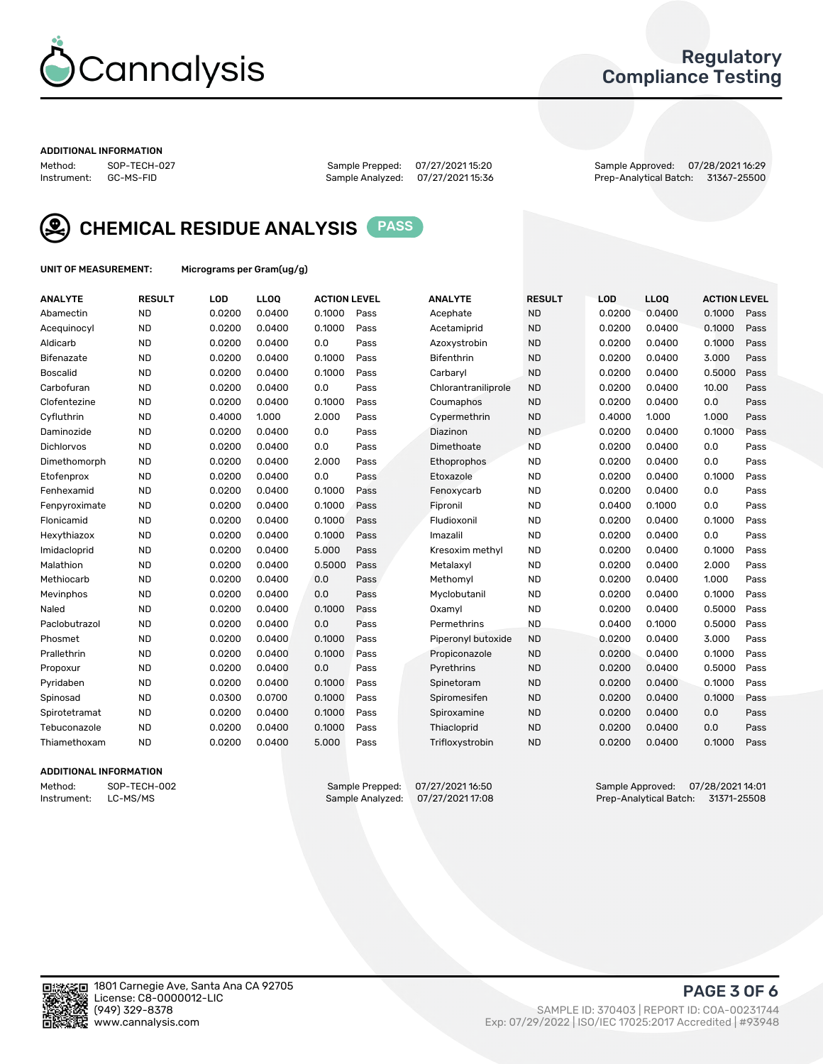

### Regulatory Compliance Testing

#### ADDITIONAL INFORMATION

Method: SOP-TECH-027 Sample Prepped: 07/27/2021 15:20 Sample Approved: 07/28/2021 16:29 Prep-Analytical Batch: 31367-25500



CHEMICAL RESIDUE ANALYSIS PASS

UNIT OF MEASUREMENT: Micrograms per Gram(ug/g)

| <b>ANALYTE</b>    | <b>RESULT</b> | LOD    | LL <sub>OO</sub> | <b>ACTION LEVEL</b> |      | <b>ANALYTE</b>      | <b>RESULT</b> | <b>LOD</b> | <b>LLOQ</b> | <b>ACTION LEVEL</b> |      |
|-------------------|---------------|--------|------------------|---------------------|------|---------------------|---------------|------------|-------------|---------------------|------|
| Abamectin         | <b>ND</b>     | 0.0200 | 0.0400           | 0.1000              | Pass | Acephate            | <b>ND</b>     | 0.0200     | 0.0400      | 0.1000              | Pass |
| Acequinocyl       | <b>ND</b>     | 0.0200 | 0.0400           | 0.1000              | Pass | Acetamiprid         | <b>ND</b>     | 0.0200     | 0.0400      | 0.1000              | Pass |
| Aldicarb          | <b>ND</b>     | 0.0200 | 0.0400           | 0.0                 | Pass | Azoxystrobin        | <b>ND</b>     | 0.0200     | 0.0400      | 0.1000              | Pass |
| Bifenazate        | <b>ND</b>     | 0.0200 | 0.0400           | 0.1000              | Pass | <b>Bifenthrin</b>   | <b>ND</b>     | 0.0200     | 0.0400      | 3.000               | Pass |
| <b>Boscalid</b>   | <b>ND</b>     | 0.0200 | 0.0400           | 0.1000              | Pass | Carbaryl            | <b>ND</b>     | 0.0200     | 0.0400      | 0.5000              | Pass |
| Carbofuran        | <b>ND</b>     | 0.0200 | 0.0400           | 0.0                 | Pass | Chlorantraniliprole | <b>ND</b>     | 0.0200     | 0.0400      | 10.00               | Pass |
| Clofentezine      | <b>ND</b>     | 0.0200 | 0.0400           | 0.1000              | Pass | Coumaphos           | <b>ND</b>     | 0.0200     | 0.0400      | 0.0                 | Pass |
| Cyfluthrin        | <b>ND</b>     | 0.4000 | 1.000            | 2.000               | Pass | Cypermethrin        | <b>ND</b>     | 0.4000     | 1.000       | 1.000               | Pass |
| Daminozide        | <b>ND</b>     | 0.0200 | 0.0400           | 0.0                 | Pass | Diazinon            | <b>ND</b>     | 0.0200     | 0.0400      | 0.1000              | Pass |
| <b>Dichlorvos</b> | <b>ND</b>     | 0.0200 | 0.0400           | 0.0                 | Pass | Dimethoate          | <b>ND</b>     | 0.0200     | 0.0400      | 0.0                 | Pass |
| Dimethomorph      | <b>ND</b>     | 0.0200 | 0.0400           | 2.000               | Pass | Ethoprophos         | <b>ND</b>     | 0.0200     | 0.0400      | 0.0                 | Pass |
| Etofenprox        | <b>ND</b>     | 0.0200 | 0.0400           | 0.0                 | Pass | Etoxazole           | <b>ND</b>     | 0.0200     | 0.0400      | 0.1000              | Pass |
| Fenhexamid        | <b>ND</b>     | 0.0200 | 0.0400           | 0.1000              | Pass | Fenoxycarb          | <b>ND</b>     | 0.0200     | 0.0400      | 0.0                 | Pass |
| Fenpyroximate     | <b>ND</b>     | 0.0200 | 0.0400           | 0.1000              | Pass | Fipronil            | <b>ND</b>     | 0.0400     | 0.1000      | 0.0                 | Pass |
| Flonicamid        | <b>ND</b>     | 0.0200 | 0.0400           | 0.1000              | Pass | Fludioxonil         | <b>ND</b>     | 0.0200     | 0.0400      | 0.1000              | Pass |
| Hexythiazox       | <b>ND</b>     | 0.0200 | 0.0400           | 0.1000              | Pass | Imazalil            | <b>ND</b>     | 0.0200     | 0.0400      | 0.0                 | Pass |
| Imidacloprid      | <b>ND</b>     | 0.0200 | 0.0400           | 5.000               | Pass | Kresoxim methyl     | <b>ND</b>     | 0.0200     | 0.0400      | 0.1000              | Pass |
| Malathion         | <b>ND</b>     | 0.0200 | 0.0400           | 0.5000              | Pass | Metalaxyl           | <b>ND</b>     | 0.0200     | 0.0400      | 2.000               | Pass |
| Methiocarb        | <b>ND</b>     | 0.0200 | 0.0400           | 0.0                 | Pass | Methomyl            | <b>ND</b>     | 0.0200     | 0.0400      | 1.000               | Pass |
| Mevinphos         | <b>ND</b>     | 0.0200 | 0.0400           | 0.0                 | Pass | Myclobutanil        | <b>ND</b>     | 0.0200     | 0.0400      | 0.1000              | Pass |
| Naled             | <b>ND</b>     | 0.0200 | 0.0400           | 0.1000              | Pass | Oxamyl              | <b>ND</b>     | 0.0200     | 0.0400      | 0.5000              | Pass |
| Paclobutrazol     | <b>ND</b>     | 0.0200 | 0.0400           | 0.0                 | Pass | Permethrins         | <b>ND</b>     | 0.0400     | 0.1000      | 0.5000              | Pass |
| Phosmet           | <b>ND</b>     | 0.0200 | 0.0400           | 0.1000              | Pass | Piperonyl butoxide  | <b>ND</b>     | 0.0200     | 0.0400      | 3.000               | Pass |
| Prallethrin       | <b>ND</b>     | 0.0200 | 0.0400           | 0.1000              | Pass | Propiconazole       | <b>ND</b>     | 0.0200     | 0.0400      | 0.1000              | Pass |
| Propoxur          | <b>ND</b>     | 0.0200 | 0.0400           | 0.0                 | Pass | Pyrethrins          | <b>ND</b>     | 0.0200     | 0.0400      | 0.5000              | Pass |
| Pyridaben         | <b>ND</b>     | 0.0200 | 0.0400           | 0.1000              | Pass | Spinetoram          | <b>ND</b>     | 0.0200     | 0.0400      | 0.1000              | Pass |
| Spinosad          | <b>ND</b>     | 0.0300 | 0.0700           | 0.1000              | Pass | Spiromesifen        | <b>ND</b>     | 0.0200     | 0.0400      | 0.1000              | Pass |
| Spirotetramat     | <b>ND</b>     | 0.0200 | 0.0400           | 0.1000              | Pass | Spiroxamine         | <b>ND</b>     | 0.0200     | 0.0400      | 0.0                 | Pass |
| Tebuconazole      | <b>ND</b>     | 0.0200 | 0.0400           | 0.1000              | Pass | Thiacloprid         | <b>ND</b>     | 0.0200     | 0.0400      | 0.0                 | Pass |
| Thiamethoxam      | <b>ND</b>     | 0.0200 | 0.0400           | 5.000               | Pass | Trifloxystrobin     | <b>ND</b>     | 0.0200     | 0.0400      | 0.1000              | Pass |
|                   |               |        |                  |                     |      |                     |               |            |             |                     |      |

### ADDITIONAL INFORMATION

Method: SOP-TECH-002 Sample Prepped: 07/27/202116:50 Sample Approved: 07/28/2021 14:01<br>Instrument: LC-MS/MS Sample Analyzed: 07/27/2021 17:08 Prep-Analytical Batch: 31371-25508 Prep-Analytical Batch: 31371-25508

PAGE 3 OF 6

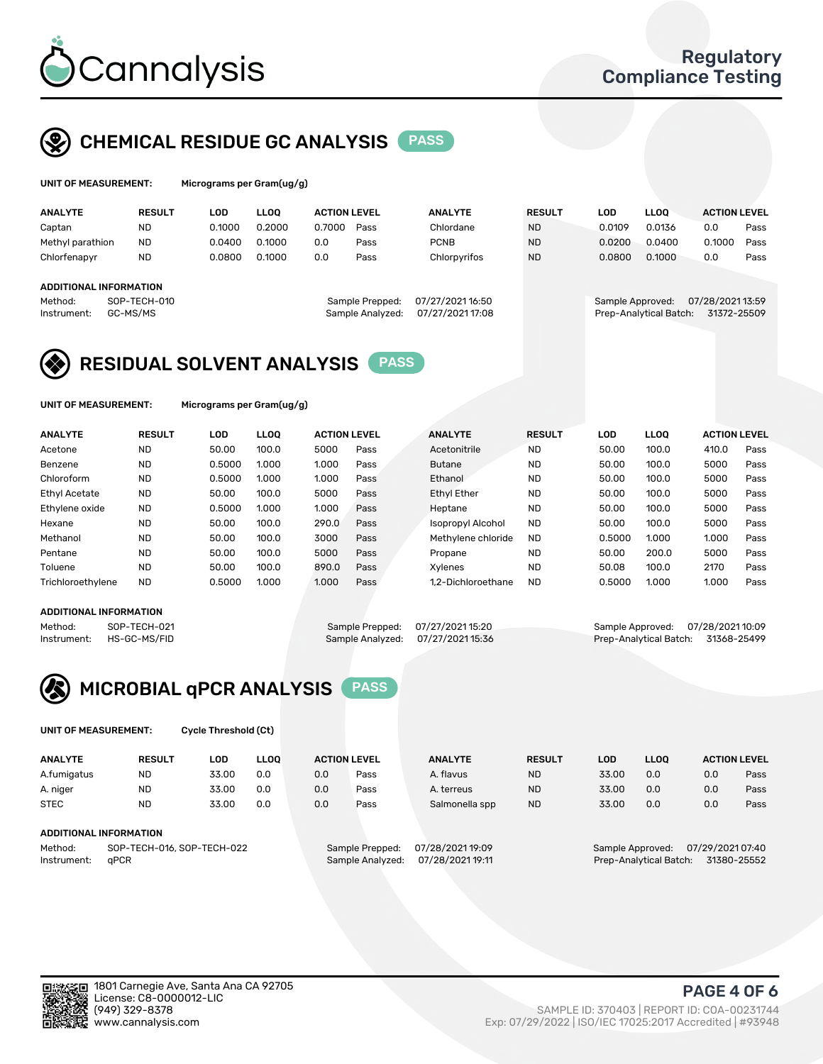

# CHEMICAL RESIDUE GC ANALYSIS PASS

| UNIT OF MEASUREMENT: | Micr |
|----------------------|------|
|----------------------|------|

ograms per Gram(ug/g)

| <b>ANALYTE</b>         | <b>RESULT</b> | LOD    | <b>LLOO</b> | <b>ACTION LEVEL</b> |                  | <b>ANALYTE</b>   | <b>RESULT</b> | LOD              | <b>LLOO</b>            | <b>ACTION LEVEL</b> |      |
|------------------------|---------------|--------|-------------|---------------------|------------------|------------------|---------------|------------------|------------------------|---------------------|------|
| Captan                 | <b>ND</b>     | 0.1000 | 0.2000      | 0.7000              | Pass             | Chlordane        | <b>ND</b>     | 0.0109           | 0.0136                 | 0.0                 | Pass |
| Methyl parathion       | <b>ND</b>     | 0.0400 | 0.1000      | 0.0                 | Pass             | <b>PCNB</b>      | <b>ND</b>     | 0.0200           | 0.0400                 | 0.1000              | Pass |
| Chlorfenapyr           | <b>ND</b>     | 0.0800 | 0.1000      | 0.0                 | Pass             | Chlorpyrifos     | <b>ND</b>     | 0.0800           | 0.1000                 | 0.0                 | Pass |
| ADDITIONAL INFORMATION |               |        |             |                     |                  |                  |               |                  |                        |                     |      |
|                        |               |        |             |                     |                  |                  |               |                  |                        |                     |      |
| Method:                | SOP-TECH-010  |        |             |                     | Sample Prepped:  | 07/27/2021 16:50 |               | Sample Approved: |                        | 07/28/2021 13:59    |      |
| Instrument:            | GC-MS/MS      |        |             |                     | Sample Analyzed: | 07/27/2021 17:08 |               |                  | Prep-Analytical Batch: | 31372-25509         |      |

### RESIDUAL SOLVENT ANALYSIS PASS

UNIT OF MEASUREMENT: Micrograms per Gram(ug/g)

| <b>ANALYTE</b>       | <b>RESULT</b> | <b>LOD</b> | <b>LLOO</b> | <b>ACTION LEVEL</b> |      | <b>ANALYTE</b>           | <b>RESULT</b> | LOD    | <b>LLOO</b> | <b>ACTION LEVEL</b> |      |
|----------------------|---------------|------------|-------------|---------------------|------|--------------------------|---------------|--------|-------------|---------------------|------|
| Acetone              | <b>ND</b>     | 50.00      | 100.0       | 5000                | Pass | Acetonitrile             | <b>ND</b>     | 50.00  | 100.0       | 410.0               | Pass |
| Benzene              | <b>ND</b>     | 0.5000     | 1.000       | 1.000               | Pass | <b>Butane</b>            | <b>ND</b>     | 50.00  | 100.0       | 5000                | Pass |
| Chloroform           | <b>ND</b>     | 0.5000     | 1.000       | 1.000               | Pass | Ethanol                  | <b>ND</b>     | 50.00  | 100.0       | 5000                | Pass |
| <b>Ethyl Acetate</b> | <b>ND</b>     | 50.00      | 100.0       | 5000                | Pass | <b>Ethyl Ether</b>       | <b>ND</b>     | 50.00  | 100.0       | 5000                | Pass |
| Ethylene oxide       | <b>ND</b>     | 0.5000     | 1.000       | 1.000               | Pass | Heptane                  | <b>ND</b>     | 50.00  | 100.0       | 5000                | Pass |
| Hexane               | <b>ND</b>     | 50.00      | 100.0       | 290.0               | Pass | <b>Isopropyl Alcohol</b> | <b>ND</b>     | 50.00  | 100.0       | 5000                | Pass |
| Methanol             | <b>ND</b>     | 50.00      | 100.0       | 3000                | Pass | Methylene chloride       | <b>ND</b>     | 0.5000 | 1.000       | 1.000               | Pass |
| Pentane              | <b>ND</b>     | 50.00      | 100.0       | 5000                | Pass | Propane                  | <b>ND</b>     | 50.00  | 200.0       | 5000                | Pass |
| Toluene              | <b>ND</b>     | 50.00      | 100.0       | 890.0               | Pass | <b>Xylenes</b>           | <b>ND</b>     | 50.08  | 100.0       | 2170                | Pass |
| Trichloroethylene    | <b>ND</b>     | 0.5000     | 1.000       | 1.000               | Pass | 1.2-Dichloroethane       | <b>ND</b>     | 0.5000 | 1.000       | 1.000               | Pass |
|                      |               |            |             |                     |      |                          |               |        |             |                     |      |

### ADDITIONAL INFORMATION

Method: SOP-TECH-021 Sample Prepped: 07/27/2021 15:20 Sample Approved: 07/28/2021 10:09<br>Instrument: HS-GC-MS/FID Sample Analyzed: 07/27/2021 15:36 Prep-Analytical Batch: 31368-25499 Prep-Analytical Batch: 31368-25499



UNIT OF MEASUREMENT: Cycle Threshold (Ct)

| <b>ANALYTE</b> | <b>RESULT</b>              | LOD   | <b>LLOO</b> |     | <b>ACTION LEVEL</b> | <b>ANALYTE</b>   | <b>RESULT</b> | LOD              | <b>LLOO</b> |                  | <b>ACTION LEVEL</b> |
|----------------|----------------------------|-------|-------------|-----|---------------------|------------------|---------------|------------------|-------------|------------------|---------------------|
| A.fumigatus    | <b>ND</b>                  | 33.00 | 0.0         | 0.0 | Pass                | A. flavus        | <b>ND</b>     | 33.00            | 0.0         | 0.0              | Pass                |
| A. niger       | <b>ND</b>                  | 33.00 | 0.0         | 0.0 | Pass                | A. terreus       | <b>ND</b>     | 33.00            | 0.0         | 0.0              | Pass                |
| <b>STEC</b>    | <b>ND</b>                  | 33.00 | 0.0         | 0.0 | Pass                | Salmonella spp   | <b>ND</b>     | 33.00            | 0.0         | 0.0              | Pass                |
|                | ADDITIONAL INFORMATION     |       |             |     |                     |                  |               |                  |             |                  |                     |
| Method:        | SOP-TECH-016, SOP-TECH-022 |       |             |     | Sample Prepped:     | 07/28/2021 19:09 |               | Sample Approved: |             | 07/29/2021 07:40 |                     |

Instrument: qPCR Sample Analyzed: 07/28/2021 19:11 Prep-Analytical Batch: 31380-25552

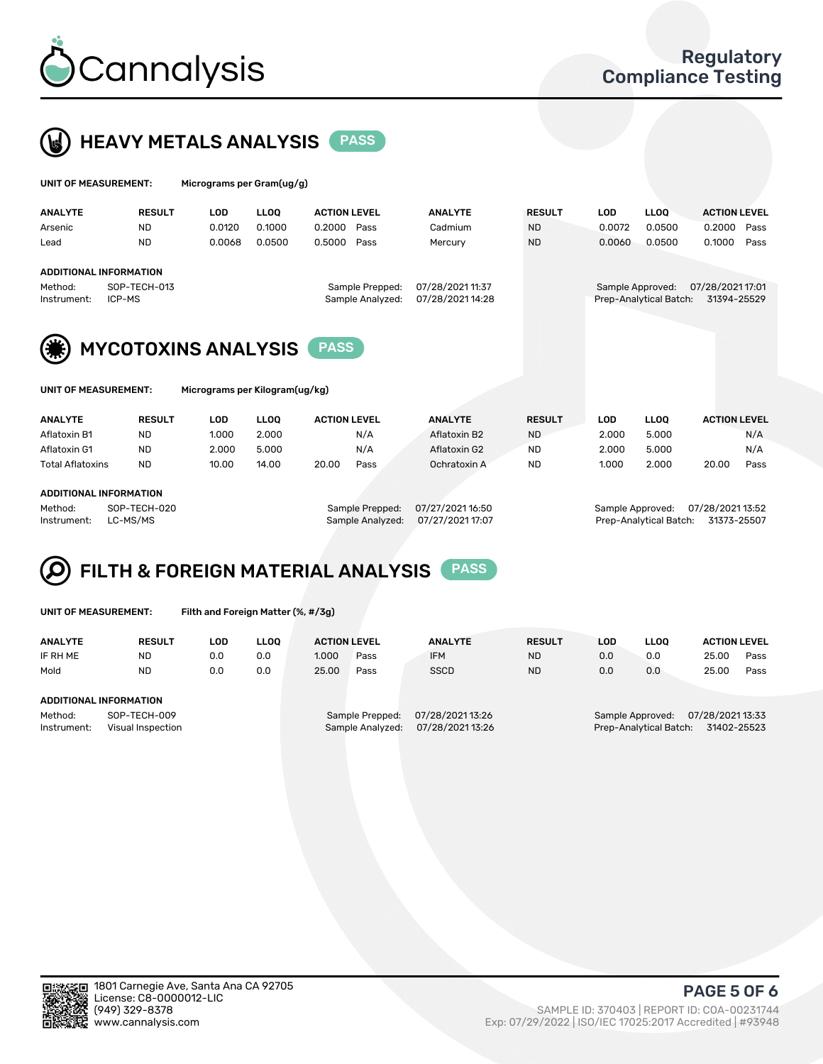



| UNIT OF MEASUREMENT:   |                                                  | Micrograms per Gram(ug/g) |             |                                     |                                      |               |            |                                            |                                 |  |
|------------------------|--------------------------------------------------|---------------------------|-------------|-------------------------------------|--------------------------------------|---------------|------------|--------------------------------------------|---------------------------------|--|
| <b>ANALYTE</b>         | <b>RESULT</b>                                    | <b>LOD</b>                | <b>LLOO</b> | <b>ACTION LEVEL</b>                 | <b>ANALYTE</b>                       | <b>RESULT</b> | <b>LOD</b> | <b>LLOO</b>                                | <b>ACTION LEVEL</b>             |  |
| Arsenic                | <b>ND</b>                                        | 0.0120                    | 0.1000      | 0.2000<br>Pass                      | Cadmium                              | <b>ND</b>     | 0.0072     | 0.0500                                     | 0.2000<br>Pass                  |  |
| Lead                   | <b>ND</b>                                        | 0.0068                    | 0.0500      | 0.5000<br>Pass                      | Mercury                              | <b>ND</b>     | 0.0060     | 0.0500                                     | 0.1000<br>Pass                  |  |
| Method:<br>Instrument: | ADDITIONAL INFORMATION<br>SOP-TECH-013<br>ICP-MS |                           |             | Sample Prepped:<br>Sample Analyzed: | 07/28/2021 11:37<br>07/28/2021 14:28 |               |            | Sample Approved:<br>Prep-Analytical Batch: | 07/28/2021 17:01<br>31394-25529 |  |
|                        | <b>MYCOTOXINS ANALYSIS</b>                       |                           |             | <b>PASS</b>                         |                                      |               |            |                                            |                                 |  |

UNIT OF MEASUREMENT: Micrograms per Kilogram(ug/kg)

| <b>ANALYTE</b>          | <b>RESULT</b> | LOD   | <b>LLOO</b> | <b>ACTION LEVEL</b> |      | <b>ANALYTE</b> | <b>RESULT</b> | LOD   | <b>LLOO</b> | <b>ACTION LEVEL</b> |      |
|-------------------------|---------------|-------|-------------|---------------------|------|----------------|---------------|-------|-------------|---------------------|------|
| Aflatoxin B1            | <b>ND</b>     | 1.000 | 2.000       |                     | N/A  | Aflatoxin B2   | <b>ND</b>     | 2.000 | 5.000       |                     | N/A  |
| Aflatoxin G1            | <b>ND</b>     | 2.000 | 5.000       |                     | N/A  | Aflatoxin G2   | <b>ND</b>     | 2.000 | 5.000       |                     | N/A  |
| <b>Total Aflatoxins</b> | <b>ND</b>     | 10.00 | 14.00       | 20.00               | Pass | Ochratoxin A   | <b>ND</b>     | 1.000 | 2.000       | 20.00               | Pass |
|                         |               |       |             |                     |      |                |               |       |             |                     |      |

#### ADDITIONAL INFORMATION

Method: SOP-TECH-020 Sample Prepped: 07/27/2021 16:50 Sample Approved: 07/28/2021 13:52 Instrument: LC-MS/MS Sample Analyzed: 07/27/2021 17:07 Prep-Analytical Batch: 31373-25507

# FILTH & FOREIGN MATERIAL ANALYSIS PASS

UNIT OF MEASUREMENT: Filth and Foreign Matter (%, #/3g)

| <b>ANALYTE</b>                                              | <b>RESULT</b> | LOD | <b>LLOO</b> | <b>ACTION LEVEL</b> |                                     | <b>ANALYTE</b>                     | <b>RESULT</b> | LOD                                                                           | LLOO |       | <b>ACTION LEVEL</b> |
|-------------------------------------------------------------|---------------|-----|-------------|---------------------|-------------------------------------|------------------------------------|---------------|-------------------------------------------------------------------------------|------|-------|---------------------|
| IF RH ME                                                    | <b>ND</b>     | 0.0 | 0.0         | 1.000               | Pass                                | <b>IFM</b>                         | <b>ND</b>     | 0.0                                                                           | 0.0  | 25.00 | Pass                |
| Mold                                                        | <b>ND</b>     | 0.0 | 0.0         | 25.00               | Pass                                | <b>SSCD</b>                        | <b>ND</b>     | 0.0                                                                           | 0.0  | 25.00 | Pass                |
| ADDITIONAL INFORMATION                                      |               |     |             |                     |                                     |                                    |               |                                                                               |      |       |                     |
| Method:<br>SOP-TECH-009<br>Instrument:<br>Visual Inspection |               |     |             |                     | Sample Prepped:<br>Sample Analyzed: | 07/28/202113:26<br>07/28/202113:26 |               | 07/28/2021 13:33<br>Sample Approved:<br>31402-25523<br>Prep-Analytical Batch: |      |       |                     |



PAGE 5 OF 6